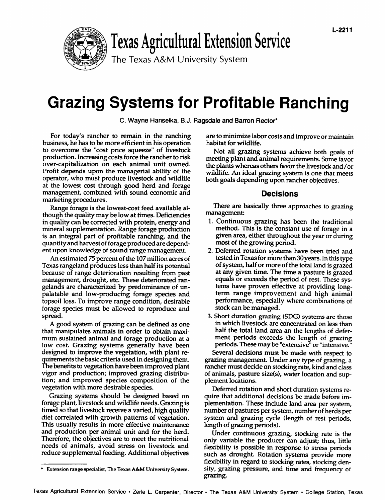

# Texas Agricultural Extension Service

**The Texas A&M University System**

# **Grazing Systems for Profitable Ranching**

**C. Wayne Hanselka, B.J. Ragsdaleand Barron Rector\***

For today's rancher to remain in the ranching business, he has to be more efficient in his operation to overcome the "cost price squeeze" of livestock production. Increasing costs force the rancher to risk over-capitalization on each animal unit owned. Profit depends upon the managerial ability of the operator, who must produce livestock and wildlife at the lowest cost through good herd and forage management, combined with sound economic and marketing procedures.

Range forage is the lowest-cost feed available although the quality may below at times. Deficiencies in quality can be corrected with protein, energy and mineral supplementation. Range forage production is an integral part of profitable ranching and the quantity and harvest of forage produced are dependent upon knowledge of sound range management.

An estimated 75 percent of the 107 million acres of Texas rangeland produces less than half its potential because of range deterioration resulting from past management, drought, etc. These deteriorated rangelands are characterized by predominance of unpalatable and low-producing forage species and topsoil loss. To improve range condition, desirable forage species must be allowed to reproduce and spread.

A good system of grazing can be defined as one that manipulates animals in order to obtain maximum sustained animal and forage production at **a** low cost. Grazing systems generally have been designed to improve the vegetation, with plant requirements the basic criteria used in designing them. The benefits to vegetation have been improved plant vigor **and** production; improved grazing distribution; and improved species composition of the vegetation with more desirable species.

Grazing systems should be designed based on forage plant, livestock and wildlife needs. Grazing is timed so that livestock receive a varied, high quality diet correlated with growth patterns of vegetation. This usually results in more effective maintenance and production per animal unit and for the herd. Therefore, the objectives are to meet the nutritional needs of animals, avoid stress on livestock and reduce supplemental feeding. Additional objectives are to minimize labor costs and improve or maintain habitat for wildlife.

Not all grazing systems achieve both goals of meeting plant and animal requirements. Some favor the plants whereas others favor the livestock and/or wildlife. An ideal grazing system is one that meets both goals depending upon rancher objectives.

# **Decisions**

There are basically three approaches to grazing management

- 1. Continuous grazing has been the traditional method. This is the constant use of forage in a given area, either throughout the year or during most of the growing period.
- 2. Deferred rotation systems have been tried and tested in Texas for more than 30years. In this type of system, half or more of the total land isgrazed at any given time. The time a pasture is grazed equals or exceeds the period of rest. These systems have proven effective at providing longterm range improvement and high animal performance, especially where combinations of stock can be managed.
- 3. Short duration grazing (SDG) svstems are those in which livestock are concentrated on less than half the total land area an the lengths of deferment periods exceeds the length of grazing periods. These may be "extensive"or "intensive."

Several decisions must be made with respect to grazing management. Under any type of grazing, a rancher must decide on stocking rate, kind and class of animals, pasture size(s), water location and supplement locations.

Deferred rotation and short duration systems require that additional decisions be made before implementation. These include land area per system, number of pastures per system, number of herds per system and grazing cycle (length of rest periods, length of grazing periods).

Under continuous grazing, stocking rate is the only variable the producer can adjust; thus, little flexibility is possible in response to stress periods such as drought. Rotation systems provide more flexibility in regard to stocking rates, stocking density, grazing pressure, and time and frequency of grazing.

**<sup>\*</sup> Extension range specialist, The Texas A&M University System.**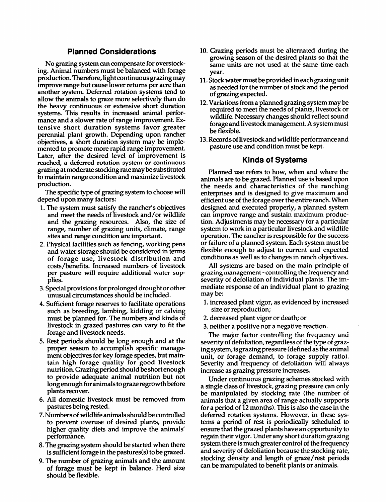### **Planned Considerations**

No grazing system can compensate for overstocking. Animal numbers must be balanced with forage production. Therefore, light continuous grazing may improve range but cause lower returns per acre than another system. Deferred rotation systems tend to allow the animals to graze more selectively than do the heavy continuous or extensive short duration systems. This results in increased animal performance and a slower rate of range improvement. Extensive short duration systems favor greater perennial plant growth. Depending upon rancher objectives, **a** short duration system may be implemented to promote more rapid range improvement. Later, after the desired level of improvement is reached, a deferred rotation system or continuous grazing at moderate stocking rate may be substituted to maintain range condition and maximize livestock production.

The specific type of grazing system to choose will depend upon many factors:

- 1. The system must satisfy the rancher's objectives and meet the needs of livestock and/or wildlife and the grazing resources. Also, the size of range, number of grazing units, climate, range sites and range condition are important.
- 2. Physical facilities such as fencing, working pens and water storage should be considered in terms of forage use, livestock distribution and costs/benefits. Increased numbers of livestock per pasture will require additional water sup plies.
- 3. Special provisions for prolonged drought or other unusual circumstances should be included.
- 4. Sufficient forage reserves to facilitate operations such as breeding, lambing, kidding or calving must be planned for. The numbers and kinds of livestock in grazed pastures can vary to fit the forage and livestock needs.
- 5. Rest periods should be long enough and at the proper season to accomplish specific management objectives for key forage species, but maintain high forage quality for good livestock nutrition. Grazing period should be short enough to provide adequate animal nutrition but not long enough for animals tograze regrowth before plants recover.
- 6. All domestic livestock must be removed from pastures being rested.
- 7. Numbers of wildlife animals should be controlled to prevent overuse of desired plants, provide higher quality diets and improve the animals' performance.
- 8. The grazing system should be started when there is sufficient forage in the pastures(s) to be grazed.
- 9. The number of grazing animals and the amount of forage must be kept in balance. Herd size should be flexible.
- 10. Grazing periods must be alternated during the growing season of the desired plants so that the same units are not used at the same time each year.
- 11. Stock water must be provided in each grazing unit as needed for the number of stock and the period of grazing expected.
- 12. Variations from a planned grazing system maybe required to meet the needs of plants, livestock or wildlife. Necessary changes should reflect sound forage and livestock management. A system must be flexible.
- 13.Records of livestock and wildlife performance and pasture use and condition must be kept.

#### **Kinds of Systems**

Planned use refers to how, when and where the animals are to be grazed. Planned use is based upon the needs and characteristics of the ranching enterprises and is designed to give maximum and efficient use of the forage over the entire ranch. When designed and executed properly, a planned system can improve range and sustain maximum production. Adjustments may be necessary for a particular system to work in a particular livestock and wildlife operation. The rancher is responsible for the success or failure of a planned system. Each system must be flexible enough to adjust to current and expected conditions as well as to changes in ranch objectives.

All systems are based on the main principle of grazing management - controlling the frequency and severity of defoliation of individual plants. The immediate response of an individual plant to grazing may be:

- 1. increased plant vigor, as evidenced by increased size or reproduction;
- 2. decreased plant vigor or death; or
- 3. neither a positive nor a negative reaction.

The major factor controlling the frequency and severity of defoliation, regardless of the type of grazingsystem, isgrazing pressure (defined as the animal unit, or forage demand, to forage supply ratio). Severity and frequency of defoliation will always increase as grazing pressure increases.

Under continuous grazing schemes stocked with a single class of livestock, grazing pressure can only be manipulated by stocking rate (the number of animals that a given area of range actually supports for a period of 12 months). This is also the case in the deferred rotation systems. However, in these systems a period of rest is periodically scheduled to ensure that the grazed plants have an opportunity to regain their vigor. Under any short duration grazing system there is much greater control of the frequency and severity of defoliation because the stocking rate, stocking density and length of graze/rest periods can be manipulated to benefit plants or animals.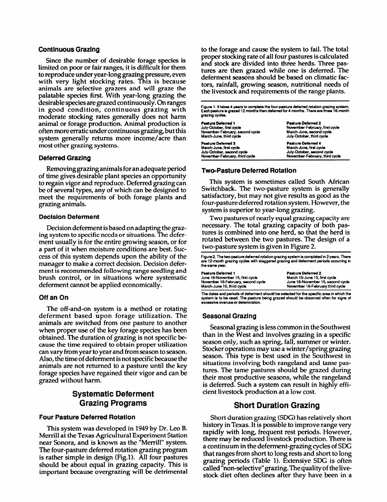#### **Continuous Grazing**

Since the number of desirable forage species is limited on poor or fair ranges, it is difficult for them to reproduce under year-long grazing pressure, even with very light stocking rates. This is because animals are selective grazers and will graze the palatable species first. With year-long grazing the desirable species aregrazed continuously. On ranges in good condition, continuous grazing with moderate stocking rates generally does not harm animal or forage production. Animal production is often more erratic under continuous grazing, butthis system generally returns more income/acre than most other grazing systems.

#### **Deferred Grazing**

Removing grazinganimals for an adequate period of time gives desirable plant species an opportunity to regain vigor and reproduce. Deferred grazing can be of several types, any of which can be designed to meet the requirements of both forage plants and grazing animals.

#### **Decision Deferment**

Decision deferment is based on adapting the grazing system to specific needs or situations. The deferment usually is for the entire growing season, or for a part of it when moisture conditions are best. Success of this system depends upon the ability of the manager to make a correct decision. Decision deferment is recommended following range seedling and brush control, or in situations where systematic deferment cannot be applied economically.

#### **Off an On**

The off-and-on system is a method or rotating deferment based upon forage utilization. The animals are switched from one pasture to another when proper use of the key forage species has been obtained. The duration of grazing is not specific because the time required to obtain proper utilization can vary from year toyear and from season to season. Also, the time of deferment is not specific because the animals are not returned to a pasture until the key forage species have regained their vigor and can be grazed without harm.

# **Systematic Deferment Grazing Programs**

#### **Four Pasture Deferred Rotation**

This system was developed in 1949 by Dr. Leo B. Merrill at the Texas Agricultural Experiment Station near Sonora, and is known as the "Merrill" system. The four-pasture deferred rotation grazing program is rather simple in design (Fig.1). All four pastures should be about equal in grazing capacity. This is important because overgrazing will be detrimental to the forage and cause the system to fail. The total proper stocking rate of all four pastures is calculated and stock are divided into three herds. Three pastures are then grazed while one is deferred. The deferment seasons should be based on climatic factors, rainfall, growing season, nutritional needs of the livestock and requirements of the range plants.

Figure 1. It takes 4 years to complete the four-pasture deferred rotation grazing system<br>Each pasture is grazed 12 months then deferred for 4 months. There are three 16-month **grazing cycles.**

| <b>Pasture Deferred 1</b><br>July-October, first cycle<br>November-February, second cycle<br>March-June, third cycle | <b>Pasture Deferred 2</b><br>November-February, first cycle<br>March-June, second cycle<br>July-October, third cycle |  |  |
|----------------------------------------------------------------------------------------------------------------------|----------------------------------------------------------------------------------------------------------------------|--|--|
| Pasture Deferred 3                                                                                                   | <b>Pasture Deferred 4</b>                                                                                            |  |  |
| March-June, first cycle                                                                                              | March-June, first cycle                                                                                              |  |  |
| July-October, second cycle                                                                                           | July-October, second cycle                                                                                           |  |  |
| November-February, third cycle                                                                                       | November-February, third cycle                                                                                       |  |  |

#### **Two-Pasture Deferred Rotation**

This system is sometimes called South African Switchback. The two-pasture system is generally satisfactory, but may not give results as good as the four-pasture deferred rotation system. However, the system is superior to year-long grazing.

Two pastures of nearly equal grazing capacity are necessary. The total grazing capacity of both pastures is combined into one herd, so that the herd is rotated between the two pastures. The design of a two-pasture system is given in Figure 2.

Figure 2. The two-pasture deferred rotation grazing system is completed in 2 years. There<br>are 12-month grazing cycles with staggered grazing and deferment periods occurring in **the same year.**

| Pasture Deferred 1                 | <b>Pasture Deferred 2</b>         |
|------------------------------------|-----------------------------------|
| June 16-November 15, first cycle   | March 15-June 15, first cycle     |
| November 16-February, second cycle | June 16-November 15, second cycle |
| March-June 15, third cycle         | November 16-February third cycle  |
|                                    |                                   |

**The dates and periods of deferment should be selected for the specific area in which the system is to be used. The pasture being grazed should be observed often for signs of excessive overuse or deterioration.**

#### **Seasonal Grazing**

Seasonal grazing is less common in the Southwest than in the West and involves grazing in a specific season only, such as spring, fall, summer or winter. Stocker operations may use a winter/spring grazing season. This type is best used in the Southwest in situations involving both rangeland and tame pastures. The tame pastures should be grazed during their most productive seasons, while the rangeland is deferred. Such a system can result in highly efficient livestock production at a low cost.

## **Short Duration Grazing**

Short duration grazing (SDG) has relatively short history in Texas. It is possible to improve range very rapidly with long frequent rest periods. However, there may be reduced livestock production. There is a continuum in the deferment-grazing cycles of SDG that ranges from short to long rests and short to long grazing periods (Table 1). Extensive SDG is often called "non-selective"grazing. The quality of the livestock diet often declines after they have been in a